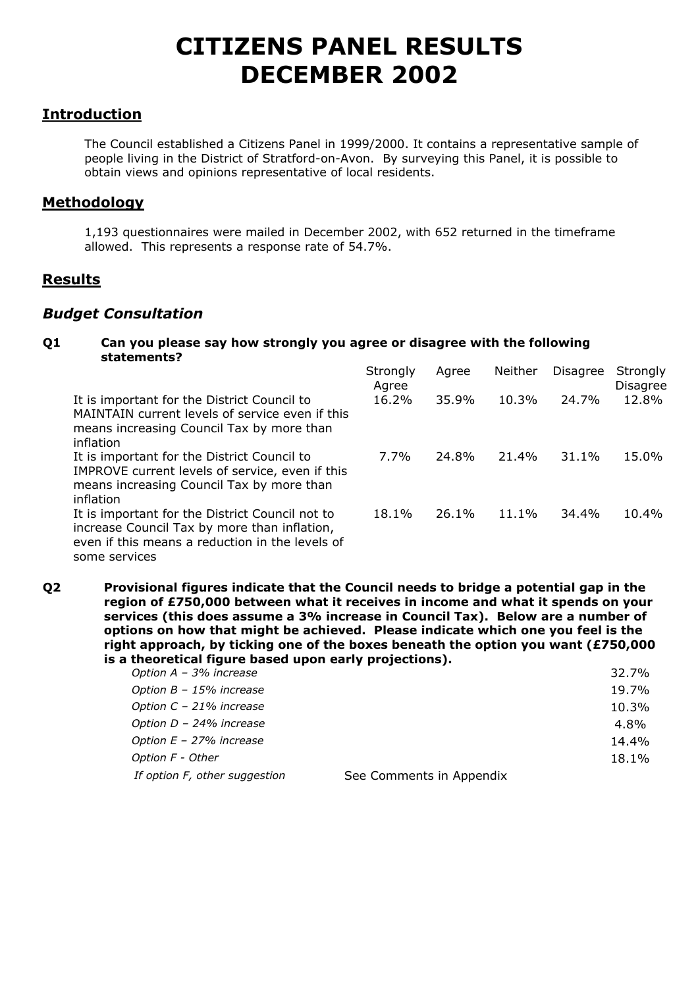# **CITIZENS PANEL RESULTS DECEMBER 2002**

## **Introduction**

 The Council established a Citizens Panel in 1999/2000. It contains a representative sample of people living in the District of Stratford-on-Avon. By surveying this Panel, it is possible to obtain views and opinions representative of local residents.

## **Methodology**

1,193 questionnaires were mailed in December 2002, with 652 returned in the timeframe allowed. This represents a response rate of 54.7%.

## **Results**

## *Budget Consultation*

**Q1 Can you please say how strongly you agree or disagree with the following statements?** 

|                                                                                                                                                                     | Strongly<br>Agree | Agree | Neither | <b>Disagree</b> | Strongly<br>Disagree |
|---------------------------------------------------------------------------------------------------------------------------------------------------------------------|-------------------|-------|---------|-----------------|----------------------|
| It is important for the District Council to<br>MAINTAIN current levels of service even if this<br>means increasing Council Tax by more than<br>inflation            | 16.2%             | 35.9% | 10.3%   | 24.7%           | 12.8%                |
| It is important for the District Council to<br>IMPROVE current levels of service, even if this<br>means increasing Council Tax by more than<br>inflation            | 7.7%              | 24.8% | 21.4%   | 31.1%           | 15.0%                |
| It is important for the District Council not to<br>increase Council Tax by more than inflation,<br>even if this means a reduction in the levels of<br>some services | 18.1%             | 26.1% | 11.1%   | 34.4%           | 10.4%                |

**Q2 Provisional figures indicate that the Council needs to bridge a potential gap in the region of £750,000 between what it receives in income and what it spends on your services (this does assume a 3% increase in Council Tax). Below are a number of options on how that might be achieved. Please indicate which one you feel is the right approach, by ticking one of the boxes beneath the option you want (£750,000 is a theoretical figure based upon early projections).**

| Option $A - 3%$ increase      |                          | 32.7% |
|-------------------------------|--------------------------|-------|
| Option B - 15% increase       |                          | 19.7% |
| Option C - 21% increase       |                          | 10.3% |
| Option D - 24% increase       |                          | 4.8%  |
| Option $E - 27%$ increase     |                          | 14.4% |
| Option F - Other              |                          | 18.1% |
| If option F, other suggestion | See Comments in Appendix |       |
|                               |                          |       |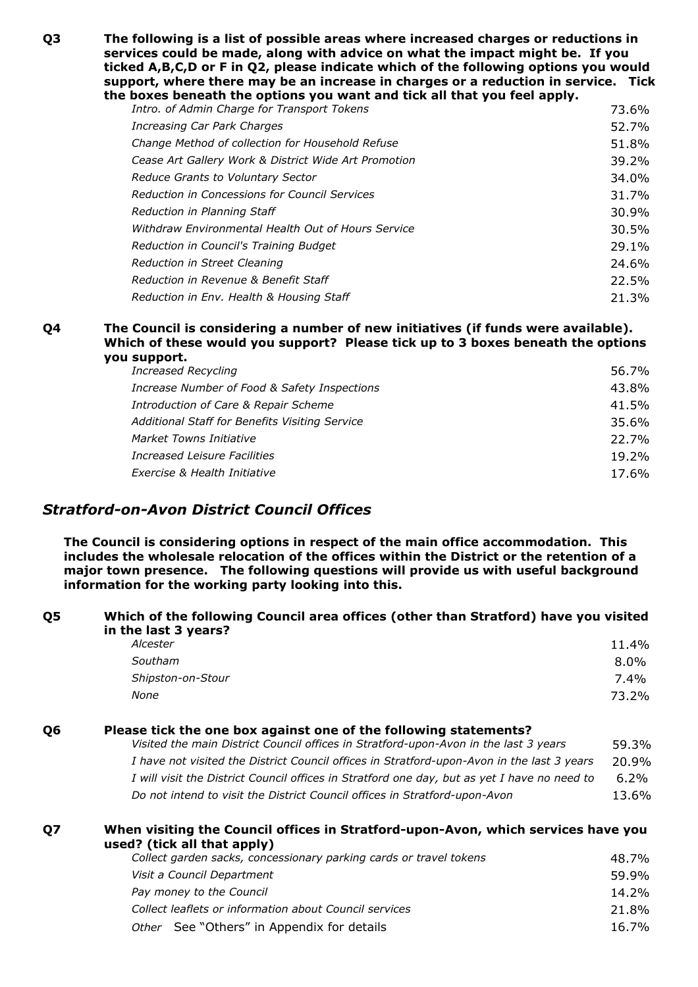**Q3 The following is a list of possible areas where increased charges or reductions in services could be made, along with advice on what the impact might be. If you ticked A,B,C,D or F in Q2, please indicate which of the following options you would support, where there may be an increase in charges or a reduction in service. Tick the boxes beneath the options you want and tick all that you feel apply.** 

| Intro. of Admin Charge for Transport Tokens          | 73.6%    |
|------------------------------------------------------|----------|
| Increasing Car Park Charges                          | 52.7%    |
| Change Method of collection for Household Refuse     | 51.8%    |
| Cease Art Gallery Work & District Wide Art Promotion | 39.2%    |
| Reduce Grants to Voluntary Sector                    | 34.0%    |
| Reduction in Concessions for Council Services        | 31.7%    |
| Reduction in Planning Staff                          | 30.9%    |
| Withdraw Environmental Health Out of Hours Service   | $30.5\%$ |
| Reduction in Council's Training Budget               | 29.1%    |
| Reduction in Street Cleaning                         | 24.6%    |
| Reduction in Revenue & Benefit Staff                 | 22.5%    |
| Reduction in Env. Health & Housing Staff             | 21.3%    |

#### **Q4 The Council is considering a number of new initiatives (if funds were available). Which of these would you support? Please tick up to 3 boxes beneath the options you support.**

| 56.7%    |
|----------|
| 43.8%    |
| 41.5%    |
| 35.6%    |
| 22.7%    |
| $19.2\%$ |
| 17.6%    |
|          |

## *Stratford-on-Avon District Council Offices*

**The Council is considering options in respect of the main office accommodation. This includes the wholesale relocation of the offices within the District or the retention of a major town presence. The following questions will provide us with useful background information for the working party looking into this.**

#### **Q5 Which of the following Council area offices (other than Stratford) have you visited in the last 3 years?**

| 11.4%   |
|---------|
| $8.0\%$ |
| 7.4%    |
| 73.2%   |
|         |

#### **Q6 Please tick the one box against one of the following statements?**

| Visited the main District Council offices in Stratford-upon-Avon in the last 3 years         | 59.3%   |
|----------------------------------------------------------------------------------------------|---------|
| I have not visited the District Council offices in Stratford-upon-Avon in the last 3 years   | 20.9%   |
| I will visit the District Council offices in Stratford one day, but as yet I have no need to | $6.2\%$ |
| Do not intend to visit the District Council offices in Stratford-upon-Avon                   | 13.6%   |

#### **Q7 When visiting the Council offices in Stratford-upon-Avon, which services have you used? (tick all that apply)**

| Collect garden sacks, concessionary parking cards or travel tokens | 48.7% |
|--------------------------------------------------------------------|-------|
| Visit a Council Department                                         | 59.9% |
| Pay money to the Council                                           | 14.2% |
| Collect leaflets or information about Council services             | 21.8% |
| Other See "Others" in Appendix for details                         | 16.7% |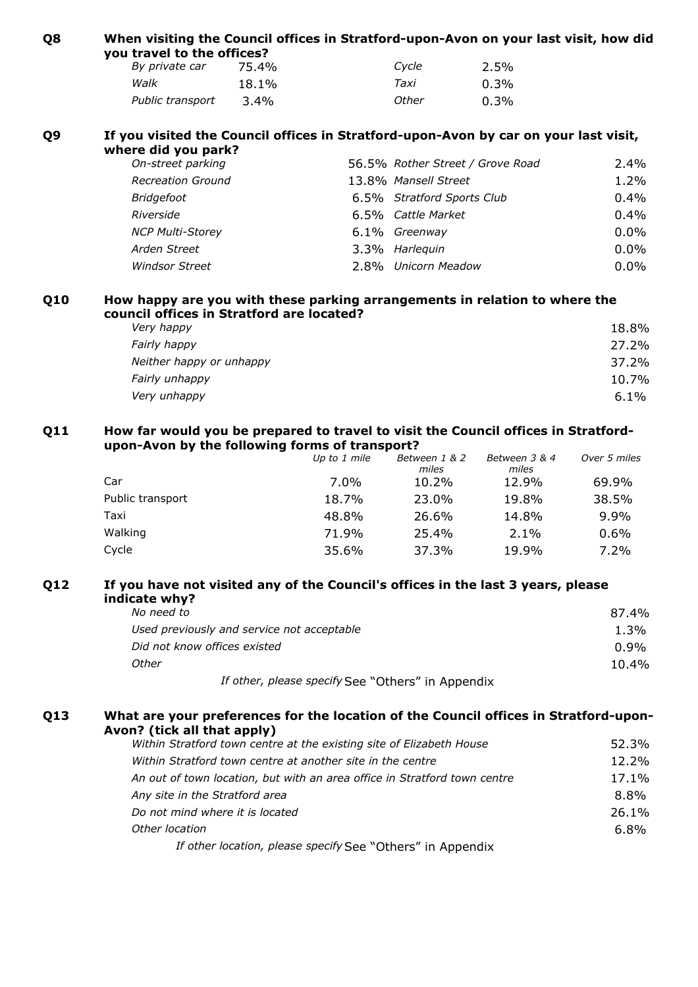| Q8             | When visiting the Council offices in Stratford-upon-Avon on your last visit, how did<br>you travel to the offices?                   |       |              |                                  |               |              |
|----------------|--------------------------------------------------------------------------------------------------------------------------------------|-------|--------------|----------------------------------|---------------|--------------|
|                | By private car                                                                                                                       | 75.4% |              | Cycle                            | 2.5%          |              |
|                | Walk                                                                                                                                 | 18.1% |              | Taxi                             | 0.3%          |              |
|                | Public transport                                                                                                                     | 3.4%  |              | Other                            | 0.3%          |              |
| Q <sub>9</sub> | If you visited the Council offices in Stratford-upon-Avon by car on your last visit,<br>where did you park?                          |       |              |                                  |               |              |
|                | On-street parking                                                                                                                    |       |              | 56.5% Rother Street / Grove Road |               | 2.4%         |
|                | <b>Recreation Ground</b>                                                                                                             |       |              | 13.8% Mansell Street             |               | 1.2%         |
|                | <b>Bridgefoot</b>                                                                                                                    |       |              | 6.5% Stratford Sports Club       |               | 0.4%         |
|                | Riverside                                                                                                                            |       |              | 6.5% Cattle Market               |               | 0.4%         |
|                | <b>NCP Multi-Storey</b>                                                                                                              |       |              | 6.1% Greenway                    |               | 0.0%         |
|                | Arden Street                                                                                                                         |       |              | 3.3% Harlequin                   |               | $0.0\%$      |
|                | <b>Windsor Street</b>                                                                                                                |       |              | 2.8% Unicorn Meadow              |               | 0.0%         |
| Q10            | How happy are you with these parking arrangements in relation to where the<br>council offices in Stratford are located?              |       |              |                                  |               |              |
|                | Very happy                                                                                                                           |       |              |                                  |               | 18.8%        |
|                | Fairly happy                                                                                                                         |       |              |                                  |               | 27.2%        |
|                | Neither happy or unhappy                                                                                                             |       |              |                                  |               | 37.2%        |
|                | Fairly unhappy                                                                                                                       |       |              |                                  |               | 10.7%        |
|                | Very unhappy                                                                                                                         |       |              |                                  |               | 6.1%         |
| Q11            | How far would you be prepared to travel to visit the Council offices in Stratford-<br>upon-Avon by the following forms of transport? |       |              |                                  |               |              |
|                |                                                                                                                                      |       | Up to 1 mile | Between 1 & 2                    | Between 3 & 4 | Over 5 miles |

|                  | <i>UP to 1 mme</i> | <i>Deuween 1 &amp; 2</i><br>miles | $P$ decive the $\sigma$ and $\sigma$<br>miles | <i>UVEL 5 IIIIES</i> |
|------------------|--------------------|-----------------------------------|-----------------------------------------------|----------------------|
| Car              | $7.0\%$            | 10.2%                             | 12.9%                                         | 69.9%                |
| Public transport | 18.7%              | 23.0%                             | 19.8%                                         | 38.5%                |
| Taxi             | 48.8%              | 26.6%                             | 14.8%                                         | $9.9\%$              |
| Walking          | 71.9%              | 25.4%                             | $2.1\%$                                       | $0.6\%$              |
| Cycle            | 35.6%              | 37.3%                             | 19.9%                                         | $7.2\%$              |

## **Q12 If you have not visited any of the Council's offices in the last 3 years, please indicate why?**

| No need to                                        | $87.4\%$ |
|---------------------------------------------------|----------|
| Used previously and service not acceptable        | $1.3\%$  |
| Did not know offices existed                      | $0.9\%$  |
| Other                                             | $10.4\%$ |
| If other, please specify See "Others" in Appendix |          |

#### **Q13 What are your preferences for the location of the Council offices in Stratford-upon-Avon? (tick all that apply)**

| Within Stratford town centre at another site in the centre<br>An out of town location, but with an area office in Stratford town centre<br>Any site in the Stratford area<br>Do not mind where it is located<br>Other location | Within Stratford town centre at the existing site of Elizabeth House | 52.3%   |
|--------------------------------------------------------------------------------------------------------------------------------------------------------------------------------------------------------------------------------|----------------------------------------------------------------------|---------|
|                                                                                                                                                                                                                                |                                                                      | 12.2%   |
|                                                                                                                                                                                                                                |                                                                      | 17.1%   |
|                                                                                                                                                                                                                                |                                                                      | 8.8%    |
|                                                                                                                                                                                                                                |                                                                      | 26.1%   |
|                                                                                                                                                                                                                                |                                                                      | $6.8\%$ |
|                                                                                                                                                                                                                                | If other location, please specify See "Others" in Appendix           |         |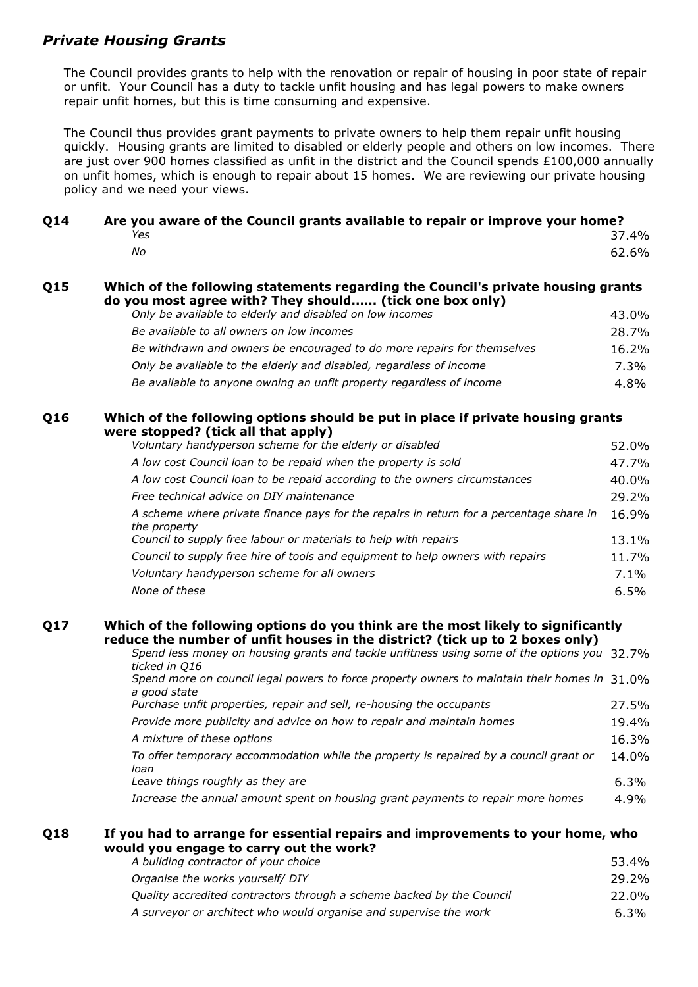## *Private Housing Grants*

The Council provides grants to help with the renovation or repair of housing in poor state of repair or unfit. Your Council has a duty to tackle unfit housing and has legal powers to make owners repair unfit homes, but this is time consuming and expensive.

The Council thus provides grant payments to private owners to help them repair unfit housing quickly. Housing grants are limited to disabled or elderly people and others on low incomes. There are just over 900 homes classified as unfit in the district and the Council spends £100,000 annually on unfit homes, which is enough to repair about 15 homes. We are reviewing our private housing policy and we need your views.

| <b>014</b> | Are you aware of the Council grants available to repair or improve your home? |  |       |  |
|------------|-------------------------------------------------------------------------------|--|-------|--|
|            | Yes                                                                           |  | 37.4% |  |
|            | Nο                                                                            |  | 62.6% |  |

#### **Q15 Which of the following statements regarding the Council's private housing grants do you most agree with? They should...... (tick one box only)**

| Only be available to elderly and disabled on low incomes                | 43.0%    |
|-------------------------------------------------------------------------|----------|
| Be available to all owners on low incomes                               | 28.7%    |
| Be withdrawn and owners be encouraged to do more repairs for themselves | $16.2\%$ |
| Only be available to the elderly and disabled, regardless of income     | 7.3%     |
| Be available to anyone owning an unfit property regardless of income    | $4.8\%$  |

#### **Q16 Which of the following options should be put in place if private housing grants were stopped? (tick all that apply)**

| Voluntary handyperson scheme for the elderly or disabled                                                | 52.0%   |
|---------------------------------------------------------------------------------------------------------|---------|
| A low cost Council loan to be repaid when the property is sold                                          | 47.7%   |
| A low cost Council loan to be repaid according to the owners circumstances                              | 40.0%   |
| Free technical advice on DIY maintenance                                                                | 29.2%   |
| A scheme where private finance pays for the repairs in return for a percentage share in<br>the property | 16.9%   |
| Council to supply free labour or materials to help with repairs                                         | 13.1%   |
| Council to supply free hire of tools and equipment to help owners with repairs                          | 11.7%   |
| Voluntary handyperson scheme for all owners                                                             | $7.1\%$ |
| None of these                                                                                           | 6.5%    |

#### **Q17 Which of the following options do you think are the most likely to significantly reduce the number of unfit houses in the district? (tick up to 2 boxes only)**

| Spend less money on housing grants and tackle unfitness using some of the options you 32.7%<br>ticked in Q16 |         |
|--------------------------------------------------------------------------------------------------------------|---------|
| Spend more on council legal powers to force property owners to maintain their homes in 31.0%<br>a good state |         |
| Purchase unfit properties, repair and sell, re-housing the occupants                                         | 27.5%   |
| Provide more publicity and advice on how to repair and maintain homes                                        | 19.4%   |
| A mixture of these options                                                                                   | 16.3%   |
| To offer temporary accommodation while the property is repaired by a council grant or<br>loan                | 14.0%   |
| Leave things roughly as they are                                                                             | $6.3\%$ |
| Increase the annual amount spent on housing grant payments to repair more homes                              | 4.9%    |

#### **Q18 If you had to arrange for essential repairs and improvements to your home, who would you engage to carry out the work?**  *A building contractor of your choice* 53.4%

| .                                                                     | -----   |
|-----------------------------------------------------------------------|---------|
| Organise the works yourself/ DIY                                      | 29.2%   |
| Ouality accredited contractors through a scheme backed by the Council | 22.0%   |
| A surveyor or architect who would organise and supervise the work     | $6.3\%$ |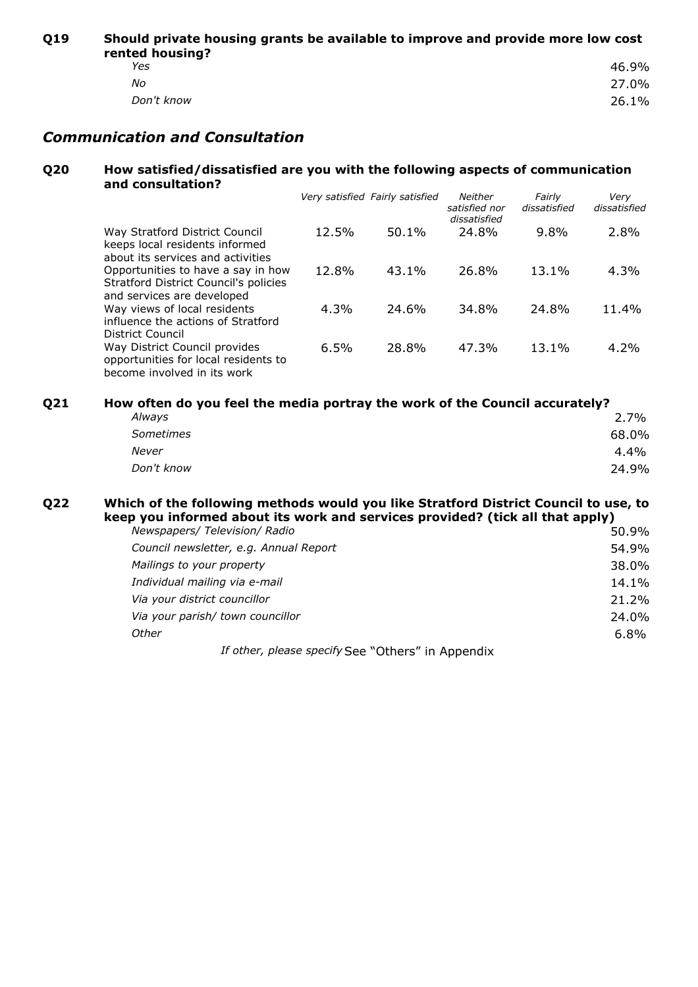**Q19 Should private housing grants be available to improve and provide more low cost rented housing?**

| iten monamia : |  |  |
|----------------|--|--|
| 46.9%          |  |  |
| 27.0%          |  |  |
| 26.1%          |  |  |
|                |  |  |

## *Communication and Consultation*

#### **Q20 How satisfied/dissatisfied are you with the following aspects of communication and consultation?**

|                                                                                                                  |       | Very satisfied Fairly satisfied | <b>Neither</b><br>satisfied nor<br>dissatisfied | Fairly<br>dissatisfied | Verv<br>dissatisfied |
|------------------------------------------------------------------------------------------------------------------|-------|---------------------------------|-------------------------------------------------|------------------------|----------------------|
| Way Stratford District Council<br>keeps local residents informed<br>about its services and activities            | 12.5% | $50.1\%$                        | 24.8%                                           | 9.8%                   | 2.8%                 |
| Opportunities to have a say in how<br><b>Stratford District Council's policies</b><br>and services are developed | 12.8% | $43.1\%$                        | 26.8%                                           | 13.1%                  | $4.3\%$              |
| Way views of local residents<br>influence the actions of Stratford<br>District Council                           | 4.3%  | 24.6%                           | 34.8%                                           | 24.8%                  | 11.4%                |
| Way District Council provides<br>opportunities for local residents to<br>become involved in its work             | 6.5%  | 28.8%                           | 47.3%                                           | 13.1%                  | $4.2\%$              |

| Q21 | How often do you feel the media portray the work of the Council accurately? |         |  |
|-----|-----------------------------------------------------------------------------|---------|--|
|     | Always                                                                      | 2.7%    |  |
|     | <i>Sometimes</i>                                                            | 68.0%   |  |
|     | Never                                                                       | $4.4\%$ |  |
|     | Don't know                                                                  | 24.9%   |  |

#### **Q22 Which of the following methods would you like Stratford District Council to use, to keep you informed about its work and services provided? (tick all that apply)**

| Newspapers/ Television/ Radio          | 50.9% |
|----------------------------------------|-------|
| Council newsletter, e.g. Annual Report | 54.9% |
| Mailings to your property              | 38.0% |
| Individual mailing via e-mail          | 14.1% |
| Via your district councillor           | 21.2% |
| Via your parish/ town councillor       | 24.0% |
| Other                                  | 6.8%  |
|                                        |       |

If other, please specify See "Others" in Appendix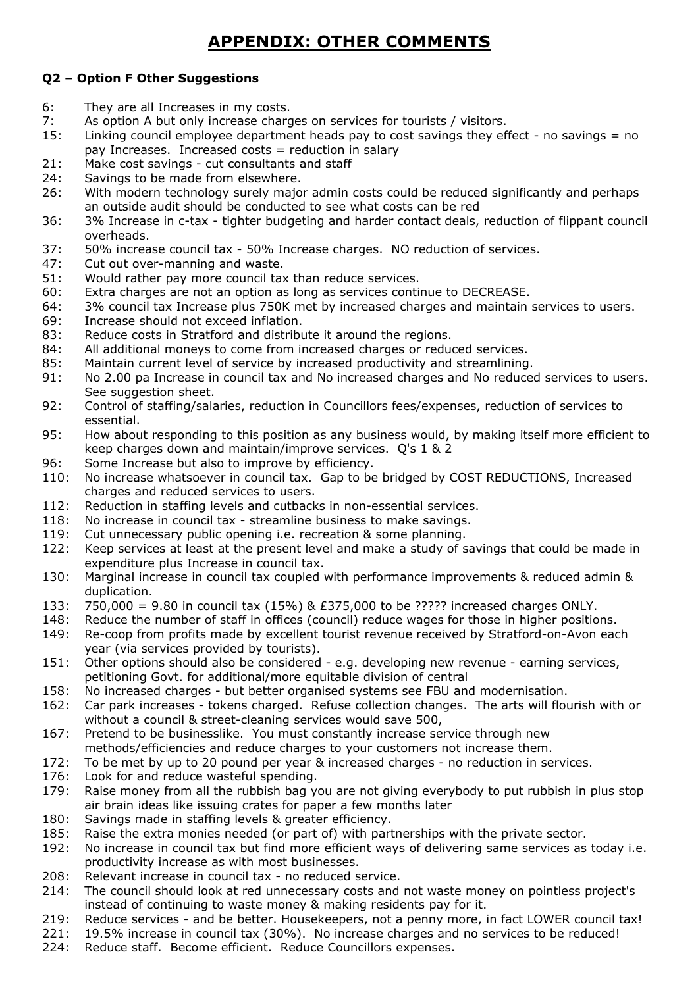## **APPENDIX: OTHER COMMENTS**

### **Q2 – Option F Other Suggestions**

- 6: They are all Increases in my costs.
- 7: As option A but only increase charges on services for tourists / visitors.
- 15: Linking council employee department heads pay to cost savings they effect no savings = no pay Increases. Increased costs = reduction in salary
- 21: Make cost savings cut consultants and staff
- 24: Savings to be made from elsewhere.
- 26: With modern technology surely major admin costs could be reduced significantly and perhaps an outside audit should be conducted to see what costs can be red
- 36: 3% Increase in c-tax tighter budgeting and harder contact deals, reduction of flippant council overheads.
- 37: 50% increase council tax 50% Increase charges. NO reduction of services.
- 47: Cut out over-manning and waste.
- 51: Would rather pay more council tax than reduce services.
- 60: Extra charges are not an option as long as services continue to DECREASE.
- 64: 3% council tax Increase plus 750K met by increased charges and maintain services to users.
- 69: Increase should not exceed inflation.
- 83: Reduce costs in Stratford and distribute it around the regions.
- 84: All additional moneys to come from increased charges or reduced services.
- 85: Maintain current level of service by increased productivity and streamlining.
- 91: No 2.00 pa Increase in council tax and No increased charges and No reduced services to users. See suggestion sheet.
- 92: Control of staffing/salaries, reduction in Councillors fees/expenses, reduction of services to essential.
- 95: How about responding to this position as any business would, by making itself more efficient to keep charges down and maintain/improve services. Q's 1 & 2
- 96: Some Increase but also to improve by efficiency.
- 110: No increase whatsoever in council tax. Gap to be bridged by COST REDUCTIONS, Increased charges and reduced services to users.
- 112: Reduction in staffing levels and cutbacks in non-essential services.
- 118: No increase in council tax streamline business to make savings.
- 119: Cut unnecessary public opening i.e. recreation & some planning.
- 122: Keep services at least at the present level and make a study of savings that could be made in expenditure plus Increase in council tax.
- 130: Marginal increase in council tax coupled with performance improvements & reduced admin & duplication.
- 133: 750,000 = 9.80 in council tax (15%) & £375,000 to be ????? increased charges ONLY.
- 148: Reduce the number of staff in offices (council) reduce wages for those in higher positions.
- 149: Re-coop from profits made by excellent tourist revenue received by Stratford-on-Avon each year (via services provided by tourists).
- 151: Other options should also be considered e.g. developing new revenue earning services, petitioning Govt. for additional/more equitable division of central
- 158: No increased charges but better organised systems see FBU and modernisation.
- 162: Car park increases tokens charged. Refuse collection changes. The arts will flourish with or without a council & street-cleaning services would save 500,
- 167: Pretend to be businesslike. You must constantly increase service through new methods/efficiencies and reduce charges to your customers not increase them.
- 172: To be met by up to 20 pound per year & increased charges no reduction in services.
- 176: Look for and reduce wasteful spending.
- 179: Raise money from all the rubbish bag you are not giving everybody to put rubbish in plus stop air brain ideas like issuing crates for paper a few months later
- 180: Savings made in staffing levels & greater efficiency.
- 185: Raise the extra monies needed (or part of) with partnerships with the private sector.
- 192: No increase in council tax but find more efficient ways of delivering same services as today i.e. productivity increase as with most businesses.
- 208: Relevant increase in council tax no reduced service.
- 214: The council should look at red unnecessary costs and not waste money on pointless project's instead of continuing to waste money & making residents pay for it.
- 219: Reduce services and be better. Housekeepers, not a penny more, in fact LOWER council tax!
- 221: 19.5% increase in council tax (30%). No increase charges and no services to be reduced!
- 224: Reduce staff. Become efficient. Reduce Councillors expenses.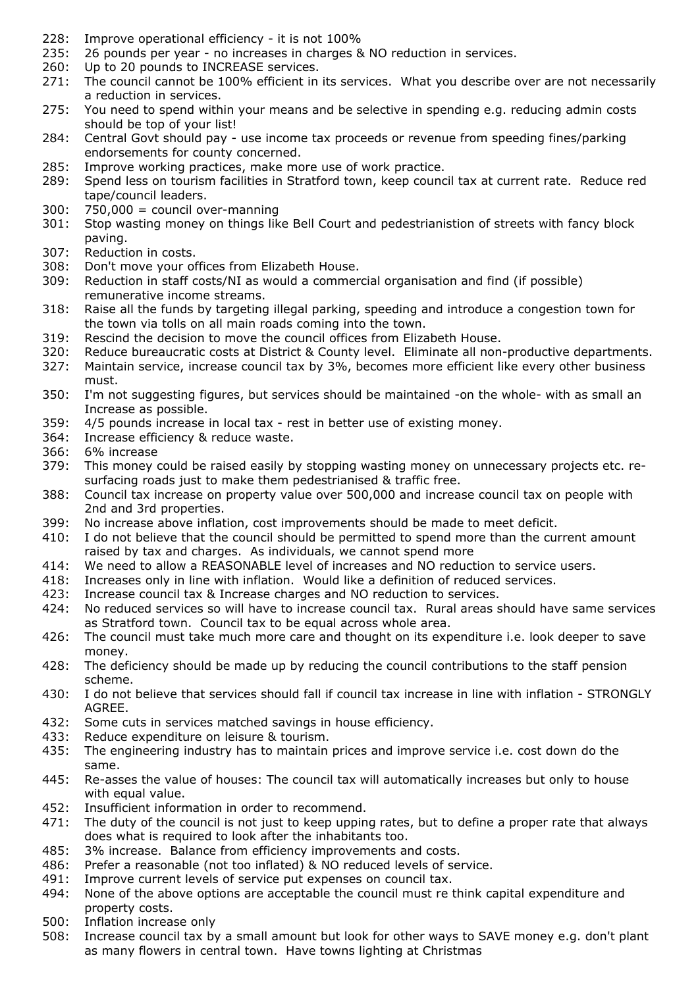- 228: Improve operational efficiency it is not 100%
- 235: 26 pounds per year no increases in charges & NO reduction in services.<br>260: Up to 20 pounds to INCREASE services.
- Up to 20 pounds to INCREASE services.
- 271: The council cannot be 100% efficient in its services. What you describe over are not necessarily a reduction in services.
- 275: You need to spend within your means and be selective in spending e.g. reducing admin costs should be top of your list!
- 284: Central Govt should pay use income tax proceeds or revenue from speeding fines/parking endorsements for county concerned.
- 285: Improve working practices, make more use of work practice.
- 289: Spend less on tourism facilities in Stratford town, keep council tax at current rate. Reduce red tape/council leaders.
- 300: 750,000 = council over-manning
- 301: Stop wasting money on things like Bell Court and pedestrianistion of streets with fancy block paving.
- 307: Reduction in costs.
- 308: Don't move your offices from Elizabeth House.
- 309: Reduction in staff costs/NI as would a commercial organisation and find (if possible) remunerative income streams.
- 318: Raise all the funds by targeting illegal parking, speeding and introduce a congestion town for the town via tolls on all main roads coming into the town.
- 319: Rescind the decision to move the council offices from Elizabeth House.
- 320: Reduce bureaucratic costs at District & County level. Eliminate all non-productive departments.
- 327: Maintain service, increase council tax by 3%, becomes more efficient like every other business must.
- 350: I'm not suggesting figures, but services should be maintained -on the whole- with as small an Increase as possible.
- 359: 4/5 pounds increase in local tax rest in better use of existing money.
- 364: Increase efficiency & reduce waste.
- 366: 6% increase
- 379: This money could be raised easily by stopping wasting money on unnecessary projects etc. resurfacing roads just to make them pedestrianised & traffic free.
- 388: Council tax increase on property value over 500,000 and increase council tax on people with 2nd and 3rd properties.
- 399: No increase above inflation, cost improvements should be made to meet deficit.
- 410: I do not believe that the council should be permitted to spend more than the current amount raised by tax and charges. As individuals, we cannot spend more
- 414: We need to allow a REASONABLE level of increases and NO reduction to service users.
- 418: Increases only in line with inflation. Would like a definition of reduced services.
- 423: Increase council tax & Increase charges and NO reduction to services.
- 424: No reduced services so will have to increase council tax. Rural areas should have same services as Stratford town. Council tax to be equal across whole area.
- 426: The council must take much more care and thought on its expenditure i.e. look deeper to save money.
- 428: The deficiency should be made up by reducing the council contributions to the staff pension scheme.
- 430: I do not believe that services should fall if council tax increase in line with inflation STRONGLY AGREE.
- 432: Some cuts in services matched savings in house efficiency.
- 433: Reduce expenditure on leisure & tourism.
- 435: The engineering industry has to maintain prices and improve service i.e. cost down do the same.
- 445: Re-asses the value of houses: The council tax will automatically increases but only to house with equal value.
- 452: Insufficient information in order to recommend.
- 471: The duty of the council is not just to keep upping rates, but to define a proper rate that always does what is required to look after the inhabitants too.
- 485: 3% increase. Balance from efficiency improvements and costs.
- 486: Prefer a reasonable (not too inflated) & NO reduced levels of service.
- 491: Improve current levels of service put expenses on council tax.
- 494: None of the above options are acceptable the council must re think capital expenditure and property costs.
- 500: Inflation increase only
- 508: Increase council tax by a small amount but look for other ways to SAVE money e.g. don't plant as many flowers in central town. Have towns lighting at Christmas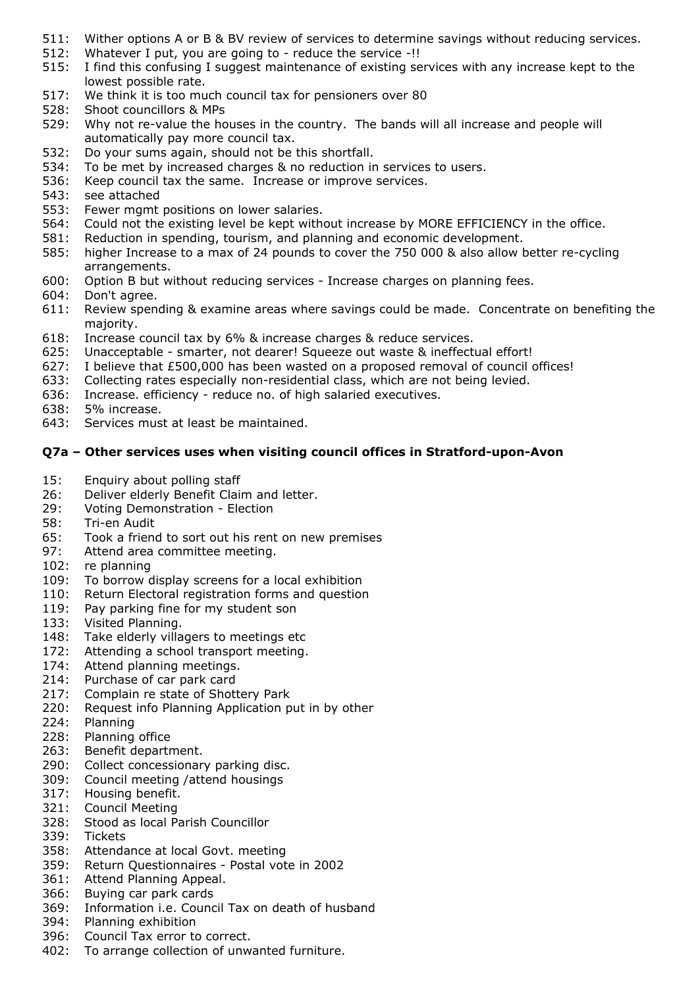- 511: Wither options A or B & BV review of services to determine savings without reducing services.
- 512: Whatever I put, you are going to reduce the service -!!
- 515: I find this confusing I suggest maintenance of existing services with any increase kept to the lowest possible rate.
- 517: We think it is too much council tax for pensioners over 80
- 528: Shoot councillors & MPs
- 529: Why not re-value the houses in the country. The bands will all increase and people will automatically pay more council tax.
- 532: Do your sums again, should not be this shortfall.
- 534: To be met by increased charges & no reduction in services to users.
- 536: Keep council tax the same. Increase or improve services.
- 543: see attached
- 553: Fewer mgmt positions on lower salaries.
- 564: Could not the existing level be kept without increase by MORE EFFICIENCY in the office.
- 581: Reduction in spending, tourism, and planning and economic development.
- 585: higher Increase to a max of 24 pounds to cover the 750 000 & also allow better re-cycling arrangements.
- 600: Option B but without reducing services Increase charges on planning fees.
- 604: Don't agree.
- 611: Review spending & examine areas where savings could be made. Concentrate on benefiting the majority.
- 618: Increase council tax by 6% & increase charges & reduce services.
- 625: Unacceptable smarter, not dearer! Squeeze out waste & ineffectual effort!
- 627: I believe that £500,000 has been wasted on a proposed removal of council offices!
- 633: Collecting rates especially non-residential class, which are not being levied.
- 636: Increase. efficiency reduce no. of high salaried executives.
- 638: 5% increase.
- 643: Services must at least be maintained.

#### **Q7a – Other services uses when visiting council offices in Stratford-upon-Avon**

- 15: Enquiry about polling staff
- 26: Deliver elderly Benefit Claim and letter.
- 29: Voting Demonstration Election
- 58: Tri-en Audit
- 65: Took a friend to sort out his rent on new premises
- 97: Attend area committee meeting.
- 102: re planning
- 109: To borrow display screens for a local exhibition
- 110: Return Electoral registration forms and question
- 119: Pay parking fine for my student son
- 133: Visited Planning.
- 148: Take elderly villagers to meetings etc
- 172: Attending a school transport meeting.
- 174: Attend planning meetings.
- 214: Purchase of car park card
- 217: Complain re state of Shottery Park
- 220: Request info Planning Application put in by other
- 224: Planning
- 228: Planning office
- 263: Benefit department.
- 290: Collect concessionary parking disc.
- 309: Council meeting /attend housings
- 317: Housing benefit.
- 321: Council Meeting
- 328: Stood as local Parish Councillor
- 339: Tickets
- 358: Attendance at local Govt. meeting
- 359: Return Questionnaires Postal vote in 2002
- 361: Attend Planning Appeal.
- 366: Buying car park cards
- 369: Information i.e. Council Tax on death of husband
- 394: Planning exhibition
- 396: Council Tax error to correct.
- 402: To arrange collection of unwanted furniture.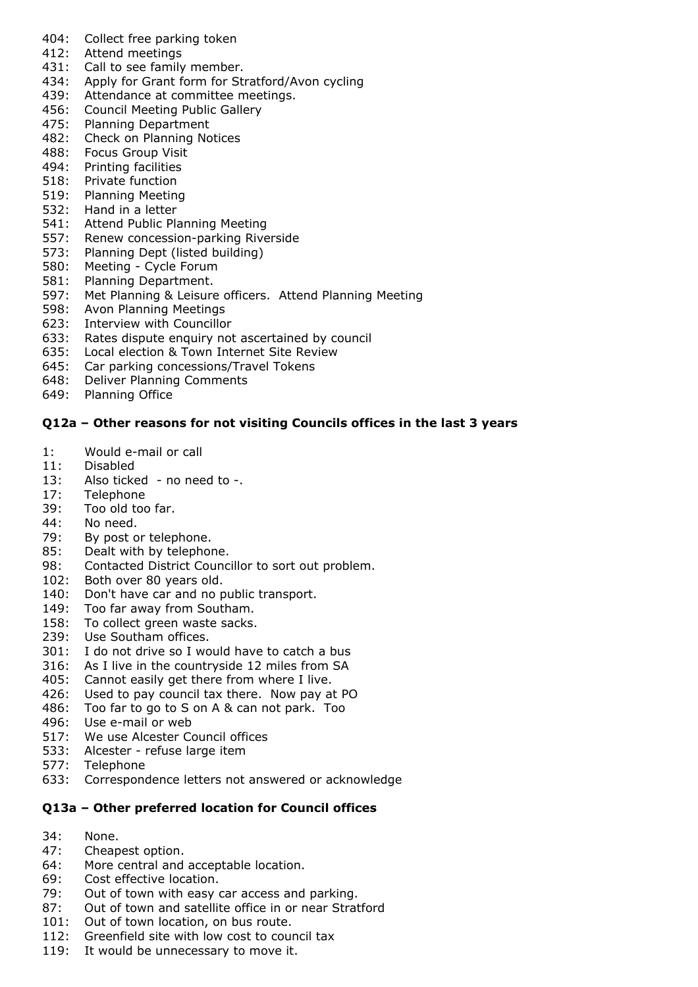- 404: Collect free parking token
- 412: Attend meetings
- 431: Call to see family member.
- 434: Apply for Grant form for Stratford/Avon cycling
- 439: Attendance at committee meetings.
- 456: Council Meeting Public Gallery
- 475: Planning Department
- 482: Check on Planning Notices
- 488: Focus Group Visit
- 494: Printing facilities
- 518: Private function
- 519: Planning Meeting
- 532: Hand in a letter
- 541: Attend Public Planning Meeting
- 557: Renew concession-parking Riverside
- 573: Planning Dept (listed building)
- 580: Meeting Cycle Forum
- 581: Planning Department.
- 597: Met Planning & Leisure officers. Attend Planning Meeting
- 598: Avon Planning Meetings
- 623: Interview with Councillor
- 633: Rates dispute enquiry not ascertained by council
- 635: Local election & Town Internet Site Review
- 645: Car parking concessions/Travel Tokens<br>648: Deliver Planning Comments
- **Deliver Planning Comments**
- 649: Planning Office

#### **Q12a – Other reasons for not visiting Councils offices in the last 3 years**

- 1: Would e-mail or call
- 11: Disabled
- 13: Also ticked no need to -.
- 17: Telephone
- 39: Too old too far.
- 44: No need.
- 79: By post or telephone.
- 85: Dealt with by telephone.
- 98: Contacted District Councillor to sort out problem.
- 102: Both over 80 years old.
- 140: Don't have car and no public transport.
- 149: Too far away from Southam.
- 158: To collect green waste sacks.
- 239: Use Southam offices.
- 301: I do not drive so I would have to catch a bus
- 316: As I live in the countryside 12 miles from SA
- 405: Cannot easily get there from where I live.
- 426: Used to pay council tax there. Now pay at PO
- 486: Too far to go to S on A & can not park. Too
- 496: Use e-mail or web
- 517: We use Alcester Council offices
- 533: Alcester refuse large item
- 577: Telephone
- 633: Correspondence letters not answered or acknowledge

#### **Q13a – Other preferred location for Council offices**

- 34: None.
- 47: Cheapest option.
- 64: More central and acceptable location.
- 69: Cost effective location.
- 79: Out of town with easy car access and parking.
- 87: Out of town and satellite office in or near Stratford
- 101: Out of town location, on bus route.
- 112: Greenfield site with low cost to council tax
- 119: It would be unnecessary to move it.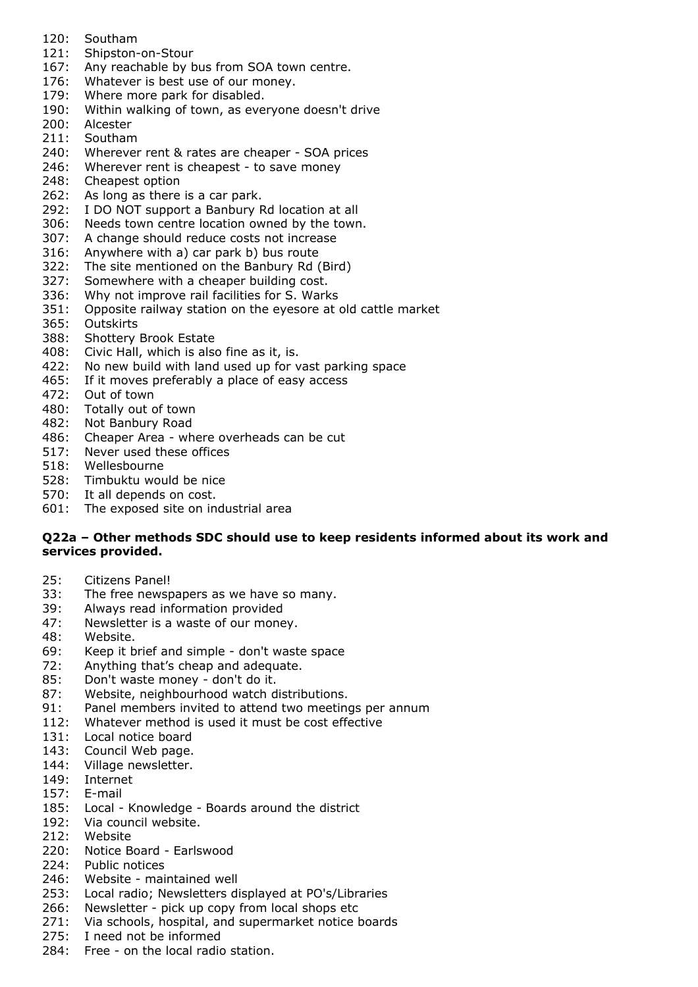- 120: Southam
- 121: Shipston-on-Stour
- 167: Any reachable by bus from SOA town centre.
- 176: Whatever is best use of our money.
- 179: Where more park for disabled.
- 190: Within walking of town, as everyone doesn't drive
- 200: Alcester
- 211: Southam
- 240: Wherever rent & rates are cheaper SOA prices
- 246: Wherever rent is cheapest to save money
- 248: Cheapest option
- 262: As long as there is a car park.
- 292: I DO NOT support a Banbury Rd location at all
- 306: Needs town centre location owned by the town.
- 307: A change should reduce costs not increase
- 316: Anywhere with a) car park b) bus route
- 322: The site mentioned on the Banbury Rd (Bird)
- 327: Somewhere with a cheaper building cost.
- 336: Why not improve rail facilities for S. Warks
- 351: Opposite railway station on the eyesore at old cattle market
- 365: Outskirts
- 388: Shottery Brook Estate
- 408: Civic Hall, which is also fine as it, is.
- 422: No new build with land used up for vast parking space
- 465: If it moves preferably a place of easy access
- 472: Out of town
- 480: Totally out of town
- 482: Not Banbury Road
- 486: Cheaper Area where overheads can be cut
- 517: Never used these offices
- 518: Wellesbourne
- 528: Timbuktu would be nice
- 570: It all depends on cost.
- 601: The exposed site on industrial area

#### **Q22a – Other methods SDC should use to keep residents informed about its work and services provided.**

- 25: Citizens Panel!
- 33: The free newspapers as we have so many.
- 39: Always read information provided
- 47: Newsletter is a waste of our money.
- 48: Website.
- 69: Keep it brief and simple don't waste space
- 72: Anything that's cheap and adequate.
- 85: Don't waste money don't do it.
- 87: Website, neighbourhood watch distributions.
- 91: Panel members invited to attend two meetings per annum
- 112: Whatever method is used it must be cost effective
- 131: Local notice board
- 143: Council Web page.
- 144: Village newsletter.
- 149: Internet
- 157: E-mail
- 185: Local Knowledge Boards around the district
- 192: Via council website.
- 212: Website
- 220: Notice Board Earlswood
- 224: Public notices
- 246: Website maintained well
- 253: Local radio; Newsletters displayed at PO's/Libraries
- 266: Newsletter pick up copy from local shops etc
- 271: Via schools, hospital, and supermarket notice boards
- 275: I need not be informed
- 284: Free on the local radio station.